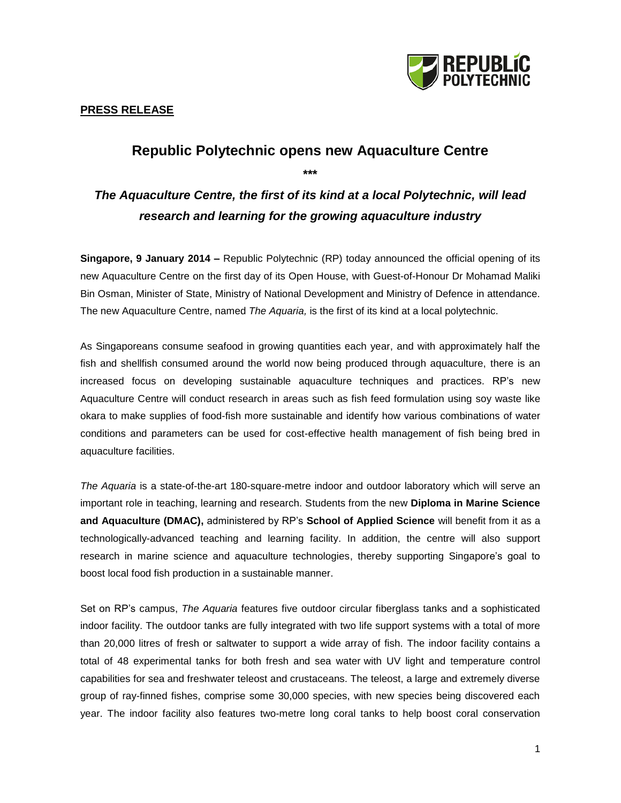

### **Republic Polytechnic opens new Aquaculture Centre**

**\*\*\***

# *The Aquaculture Centre, the first of its kind at a local Polytechnic, will lead research and learning for the growing aquaculture industry*

**Singapore, 9 January 2014 –** Republic Polytechnic (RP) today announced the official opening of its new Aquaculture Centre on the first day of its Open House, with Guest-of-Honour Dr Mohamad Maliki Bin Osman, Minister of State, Ministry of National Development and Ministry of Defence in attendance. The new Aquaculture Centre, named *The Aquaria,* is the first of its kind at a local polytechnic.

As Singaporeans consume seafood in growing quantities each year, and with approximately half the fish and shellfish consumed around the world now being produced through aquaculture, there is an increased focus on developing sustainable aquaculture techniques and practices. RP's new Aquaculture Centre will conduct research in areas such as fish feed formulation using soy waste like okara to make supplies of food-fish more sustainable and identify how various combinations of water conditions and parameters can be used for cost-effective health management of fish being bred in aquaculture facilities.

*The Aquaria* is a state-of-the-art 180-square-metre indoor and outdoor laboratory which will serve an important role in teaching, learning and research. Students from the new **Diploma in Marine Science and Aquaculture (DMAC),** administered by RP's **School of Applied Science** will benefit from it as a technologically-advanced teaching and learning facility. In addition, the centre will also support research in marine science and aquaculture technologies, thereby supporting Singapore's goal to boost local food fish production in a sustainable manner.

Set on RP's campus, *The Aquaria* features five outdoor circular fiberglass tanks and a sophisticated indoor facility. The outdoor tanks are fully integrated with two life support systems with a total of more than 20,000 litres of fresh or saltwater to support a wide array of fish. The indoor facility contains a total of 48 experimental tanks for both fresh and sea water with UV light and temperature control capabilities for sea and freshwater teleost and crustaceans. The teleost, a large and extremely diverse group of ray-finned fishes, comprise some 30,000 species, with new species being discovered each year. The indoor facility also features two-metre long coral tanks to help boost coral conservation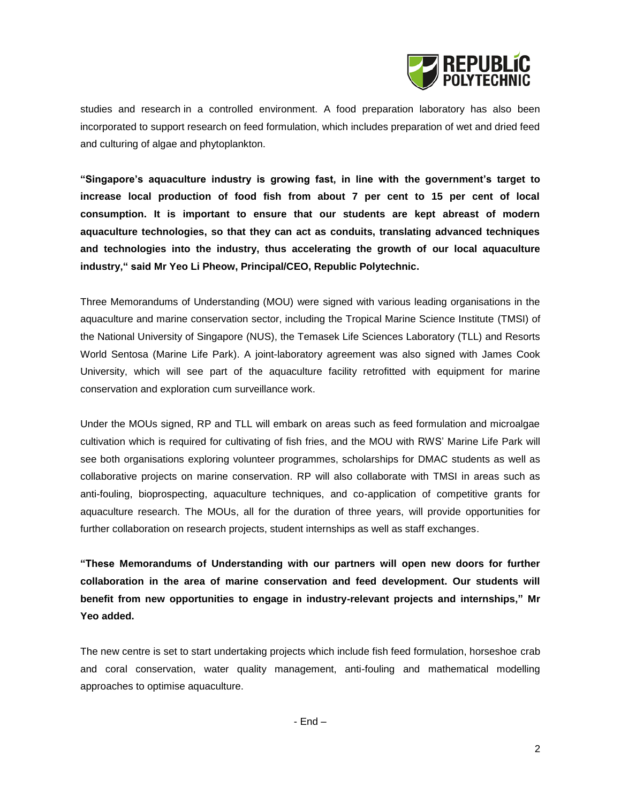

studies and research in a controlled environment. A food preparation laboratory has also been incorporated to support research on feed formulation, which includes preparation of wet and dried feed and culturing of algae and phytoplankton.

**"Singapore's aquaculture industry is growing fast, in line with the government's target to increase local production of food fish from about 7 per cent to 15 per cent of local consumption. It is important to ensure that our students are kept abreast of modern aquaculture technologies, so that they can act as conduits, translating advanced techniques and technologies into the industry, thus accelerating the growth of our local aquaculture industry," said Mr Yeo Li Pheow, Principal/CEO, Republic Polytechnic.**

Three Memorandums of Understanding (MOU) were signed with various leading organisations in the aquaculture and marine conservation sector, including the Tropical Marine Science Institute (TMSI) of the National University of Singapore (NUS), the Temasek Life Sciences Laboratory (TLL) and Resorts World Sentosa (Marine Life Park). A joint-laboratory agreement was also signed with James Cook University, which will see part of the aquaculture facility retrofitted with equipment for marine conservation and exploration cum surveillance work.

Under the MOUs signed, RP and TLL will embark on areas such as feed formulation and microalgae cultivation which is required for cultivating of fish fries, and the MOU with RWS' Marine Life Park will see both organisations exploring volunteer programmes, scholarships for DMAC students as well as collaborative projects on marine conservation. RP will also collaborate with TMSI in areas such as anti-fouling, bioprospecting, aquaculture techniques, and co-application of competitive grants for aquaculture research. The MOUs, all for the duration of three years, will provide opportunities for further collaboration on research projects, student internships as well as staff exchanges.

**"These Memorandums of Understanding with our partners will open new doors for further collaboration in the area of marine conservation and feed development. Our students will benefit from new opportunities to engage in industry-relevant projects and internships," Mr Yeo added.**

The new centre is set to start undertaking projects which include fish feed formulation, horseshoe crab and coral conservation, water quality management, anti-fouling and mathematical modelling approaches to optimise aquaculture.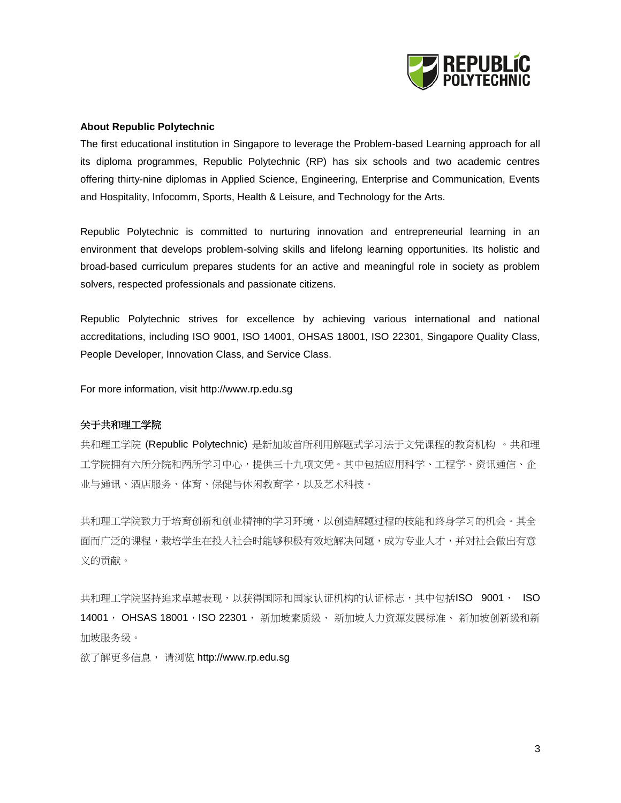

#### **About Republic Polytechnic**

The first educational institution in Singapore to leverage the Problem-based Learning approach for all its diploma programmes, Republic Polytechnic (RP) has six schools and two academic centres offering thirty-nine diplomas in Applied Science, Engineering, Enterprise and Communication, Events and Hospitality, Infocomm, Sports, Health & Leisure, and Technology for the Arts.

Republic Polytechnic is committed to nurturing innovation and entrepreneurial learning in an environment that develops problem-solving skills and lifelong learning opportunities. Its holistic and broad-based curriculum prepares students for an active and meaningful role in society as problem solvers, respected professionals and passionate citizens.

Republic Polytechnic strives for excellence by achieving various international and national accreditations, including ISO 9001, ISO 14001, OHSAS 18001, ISO 22301, Singapore Quality Class, People Developer, Innovation Class, and Service Class.

For more information, visit http://www.rp.edu.sg

#### 关于共和理工学院

共和理工学院 (Republic Polytechnic) 是新加坡首所利用解题式学习法于文凭课程的教育机构 。共和理 工学院拥有六所分院和两所学习中心,提供三十九项文凭。其中包括应用科学、工程学、资讯通信、企 业与通讯、酒店服务、体育、保健与休闲教育学,以及艺术科技。

共和理工学院致力于培育创新和创业精神的学习环境,以创造解题过程的技能和终身学习的机会。其全 面而广泛的课程,栽培学生在投入社会时能够积极有效地解决问题,成为专业人才,并对社会做出有意 义的贡献。

共和理工学院坚持追求卓越表现,以获得国际和国家认证机构的认证标志,其中包括ISO 9001, ISO 14001, OHSAS 18001,ISO 22301, 新加坡素质级、 新加坡人力资源发展标准、 新加坡创新级和新 加坡服务级。

欲了解更多信息, 请浏览 http://www.rp.edu.sg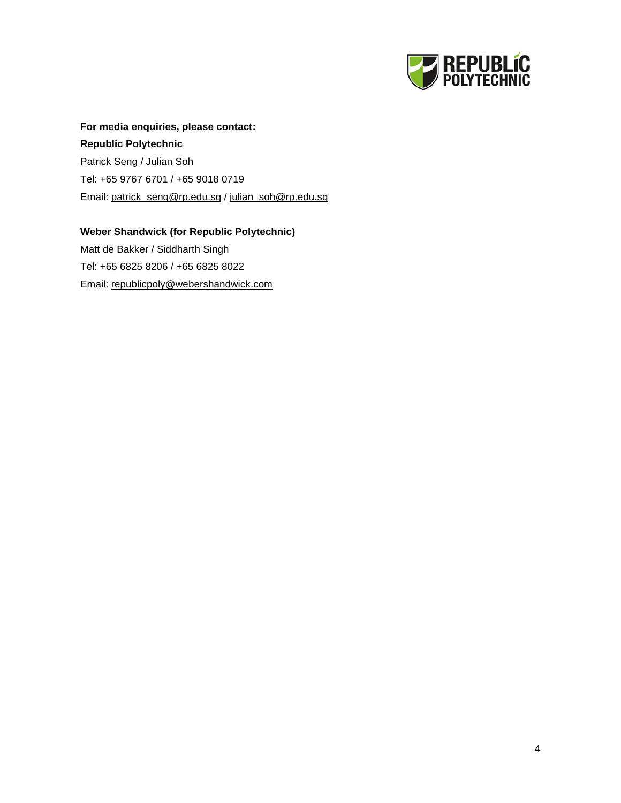

## **For media enquiries, please contact: Republic Polytechnic** Patrick Seng / Julian Soh Tel: +65 9767 6701 / +65 9018 0719 Email: [patrick\\_seng@rp.edu.sg](mailto:patrick_seng@rp.edu.sg) / [julian\\_soh@rp.edu.sg](mailto:julian_soh@rp.edu.sg)

### **Weber Shandwick (for Republic Polytechnic)** Matt de Bakker / Siddharth Singh Tel: +65 6825 8206 / +65 6825 8022 Email: [republicpoly@webershandwick.com](mailto:republicpoly@webershandwick.com)